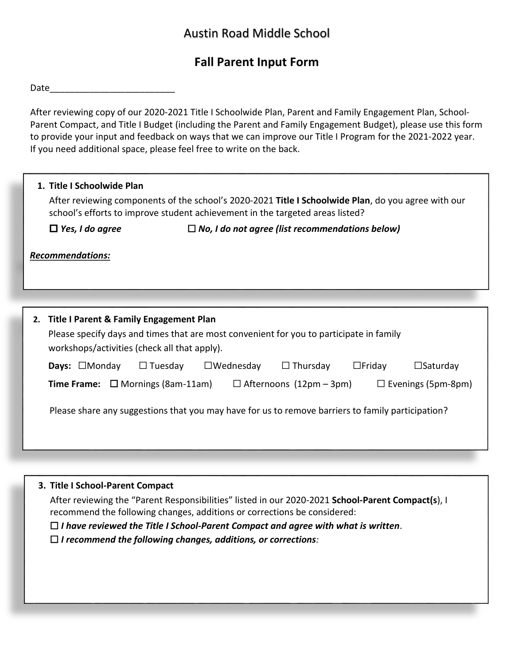## Austin Road Middle School

## **Fall Parent Input Form**

Date\_\_\_\_\_\_\_\_\_\_\_\_\_\_\_\_\_\_\_\_\_\_\_\_\_

After reviewing copy of our 2020-2021 Title I Schoolwide Plan, Parent and Family Engagement Plan, School-Parent Compact, and Title I Budget (including the Parent and Family Engagement Budget), please use this form to provide your input and feedback on ways that we can improve our Title I Program for the 2021-2022 year. If you need additional space, please feel free to write on the back.

| 1. Title I Schoolwide Plan                 | After reviewing components of the school's 2020-2021 Title I Schoolwide Plan, do you agree with our<br>school's efforts to improve student achievement in the targeted areas listed? |
|--------------------------------------------|--------------------------------------------------------------------------------------------------------------------------------------------------------------------------------------|
| $\Box$ Yes, I do agree                     | $\Box$ No, I do not agree (list recommendations below)                                                                                                                               |
| <b>Recommendations:</b>                    |                                                                                                                                                                                      |
|                                            |                                                                                                                                                                                      |
| 2. Title I Parent & Family Engagement Plan | Please specify days and times that are most convenient for you to participate in family                                                                                              |

| workshops/activities (check all that apply).                                                                 |                |                  |                 |               |                    |
|--------------------------------------------------------------------------------------------------------------|----------------|------------------|-----------------|---------------|--------------------|
| <b>Days:</b> $\Box$ Monday                                                                                   | $\Box$ Tuesday | $\Box$ Wednesday | $\Box$ Thursday | $\Box$ Friday | $\square$ Saturday |
| <b>Time Frame:</b> $\Box$ Mornings (8am-11am)<br>$\Box$ Afternoons (12pm – 3pm)<br>$\Box$ Evenings (5pm-8pm) |                |                  |                 |               |                    |
|                                                                                                              |                |                  |                 |               |                    |
| Please share any suggestions that you may have for us to remove barriers to family participation?            |                |                  |                 |               |                    |
|                                                                                                              |                |                  |                 |               |                    |

**3. Title I School-Parent Compact**

After reviewing the "Parent Responsibilities" listed in our 2020-2021 **School-Parent Compact(s**), I recommend the following changes, additions or corrections be considered:

☐ *I have reviewed the Title I School-Parent Compact and agree with what is written*.

☐ *I recommend the following changes, additions, or corrections:*